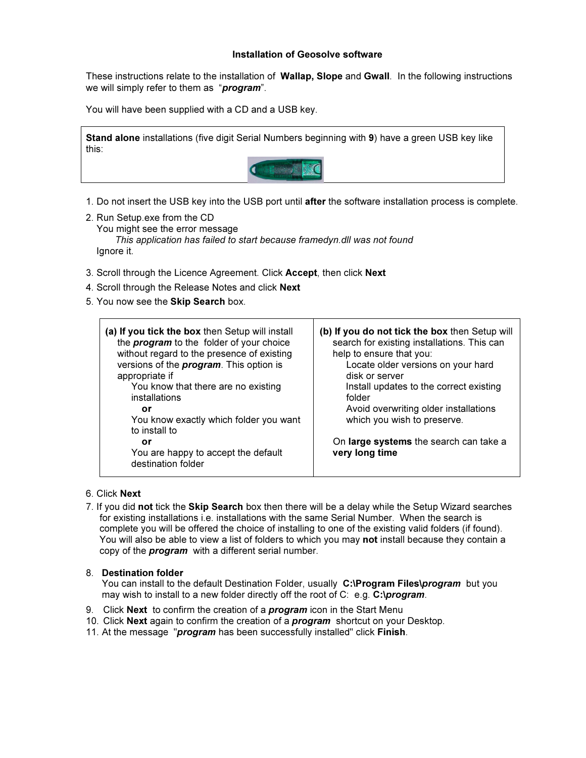## Installation of Geosolve software

These instructions relate to the installation of **Wallap, Slope** and **Gwall**. In the following instructions we will simply refer to them as "**program**".

You will have been supplied with a CD and a USB key.

Stand alone installations (five digit Serial Numbers beginning with 9) have a green USB key like this:



1. Do not insert the USB key into the USB port until after the software installation process is complete.

- 2. Run Setup.exe from the CD You might see the error message This application has failed to start because framedyn.dll was not found Ignore it.
- 3. Scroll through the Licence Agreement. Click Accept, then click Next
- 4. Scroll through the Release Notes and click Next
- 5. You now see the Skip Search box.

| (a) If you tick the box then Setup will install<br>the <i>program</i> to the folder of your choice<br>without regard to the presence of existing<br>versions of the <i>program</i> . This option is<br>appropriate if<br>You know that there are no existing<br>installations<br>or<br>You know exactly which folder you want<br>to install to | (b) If you do not tick the box then Setup will<br>search for existing installations. This can<br>help to ensure that you:<br>Locate older versions on your hard<br>disk or server<br>Install updates to the correct existing<br>folder<br>Avoid overwriting older installations<br>which you wish to preserve. |
|------------------------------------------------------------------------------------------------------------------------------------------------------------------------------------------------------------------------------------------------------------------------------------------------------------------------------------------------|----------------------------------------------------------------------------------------------------------------------------------------------------------------------------------------------------------------------------------------------------------------------------------------------------------------|
| or<br>You are happy to accept the default<br>destination folder                                                                                                                                                                                                                                                                                | On large systems the search can take a<br>very long time                                                                                                                                                                                                                                                       |

- 6. Click Next
- 7. If you did not tick the Skip Search box then there will be a delay while the Setup Wizard searches for existing installations i.e. installations with the same Serial Number. When the search is complete you will be offered the choice of installing to one of the existing valid folders (if found). You will also be able to view a list of folders to which you may not install because they contain a copy of the **program** with a different serial number.

## 8. Destination folder

You can install to the default Destination Folder, usually C:\Program Files\program but you may wish to install to a new folder directly off the root of C: e.g. C:\program.

- 9. Click Next to confirm the creation of a *program* icon in the Start Menu
- 10. Click Next again to confirm the creation of a *program* shortcut on your Desktop.

11. At the message "program has been successfully installed" click Finish.